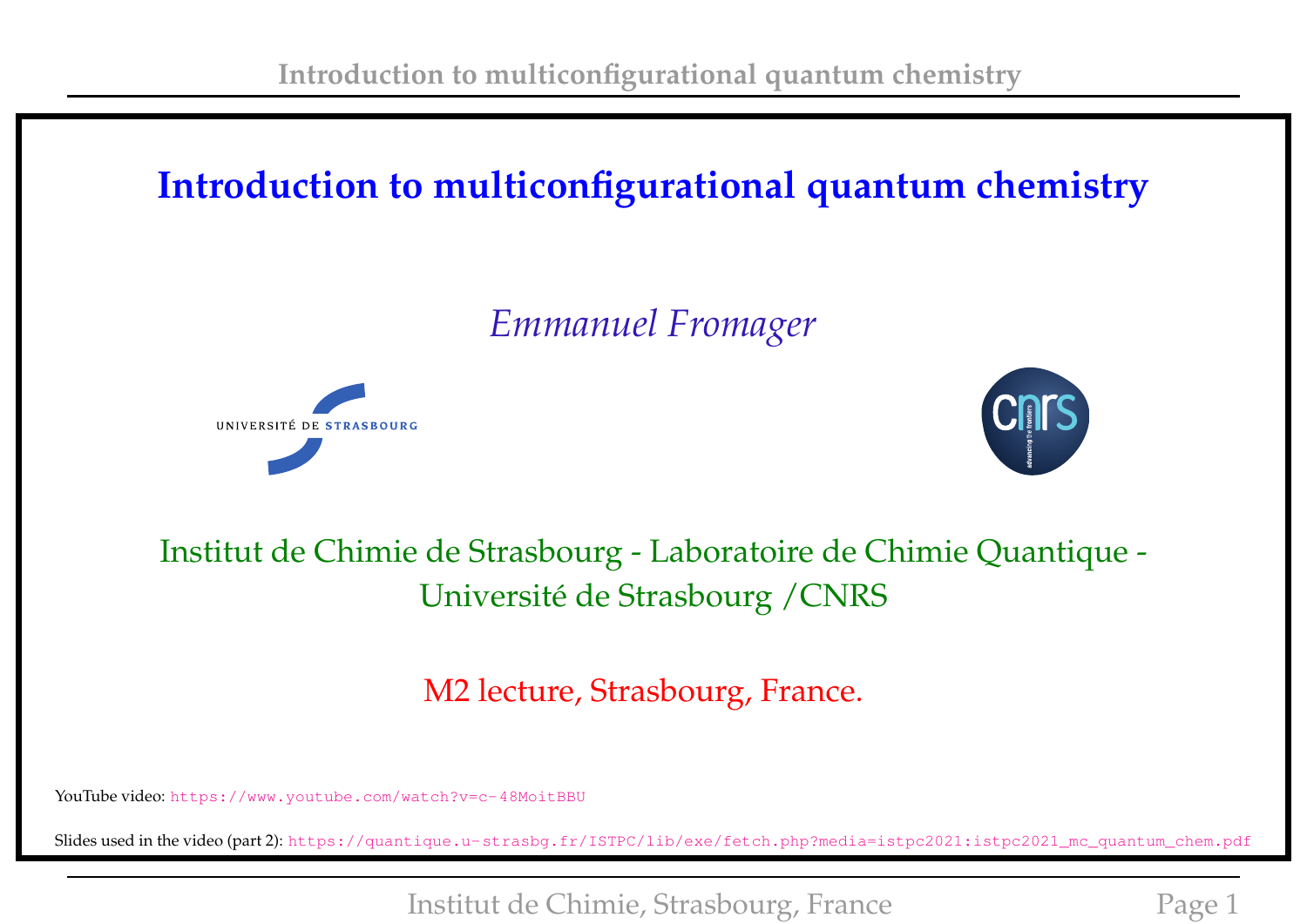# **Introduction to multiconfigurational quantum chemistry**

# *Emmanuel Fromager*





### Institut de Chimie de Strasbourg - Laboratoire de Chimie Quantique - Université de Strasbourg /CNRS

M2 lecture, Strasbourg, France.

YouTube video: <https://www.youtube.com/watch?v=c-48MoitBBU>

Slides used in the video (part 2): [https://quantique.u-strasbg.fr/ISTPC/lib/exe/fetch.php?media=istpc2021:istpc2021\\_mc\\_quantum\\_chem.pdf](https://quantique.u-strasbg.fr/ISTPC/lib/exe/fetch.php?media=istpc2021:istpc2021_mc_quantum_chem.pdf)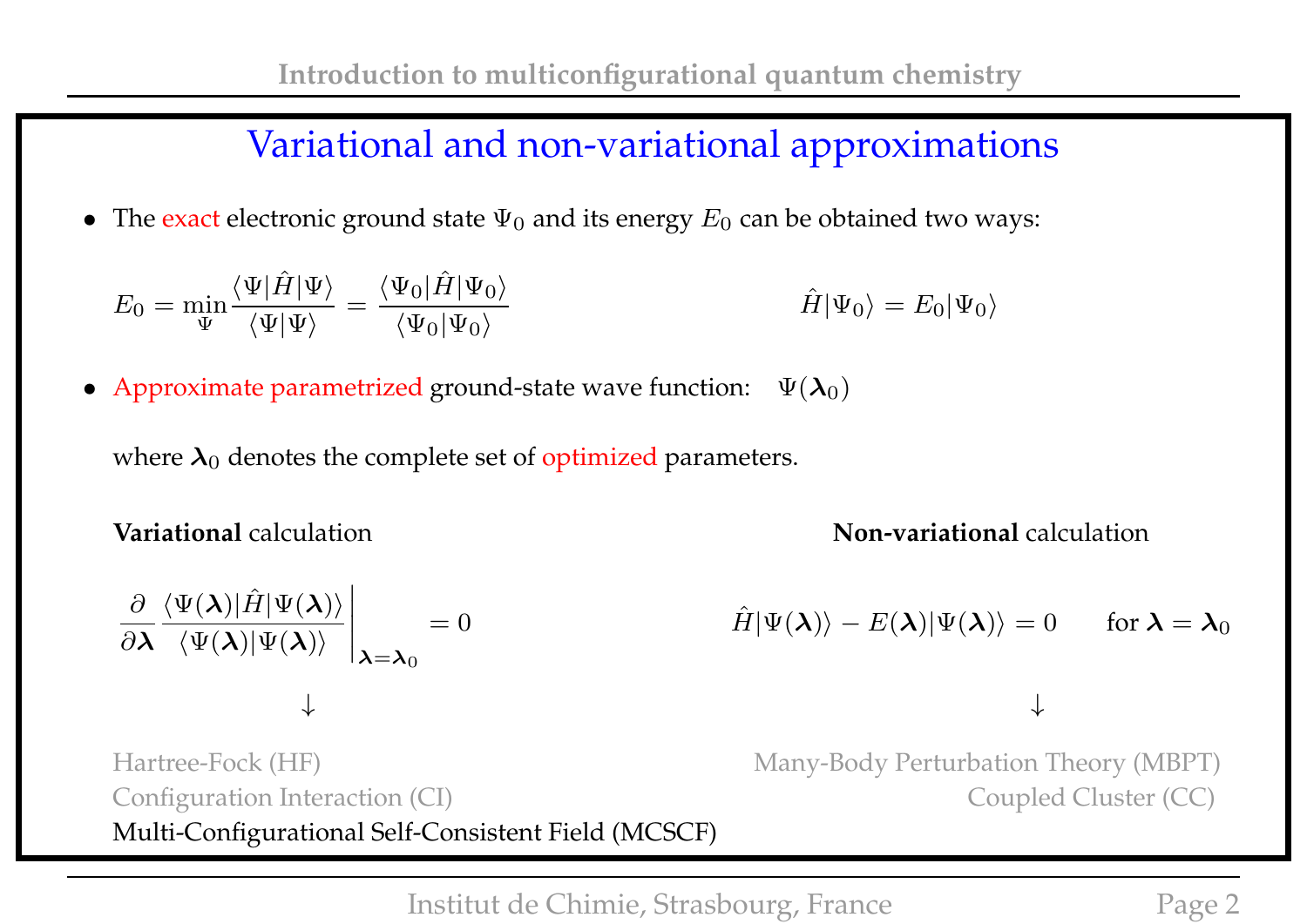#### Variational and non-variational approximations

• The exact electronic ground state  $\Psi_0$  and its energy  $E_0$  can be obtained two ways:

$$
E_0 = \min_{\Psi} \frac{\langle \Psi | \hat{H} | \Psi \rangle}{\langle \Psi | \Psi \rangle} = \frac{\langle \Psi_0 | \hat{H} | \Psi_0 \rangle}{\langle \Psi_0 | \Psi_0 \rangle} \qquad \hat{H} | \Psi_0 \rangle = E_0 | \Psi_0 \rangle
$$

• Approximate parametrized ground-state wave function:  $\Psi(\lambda_0)$ 

where  $\lambda_0$  denotes the complete set of optimized parameters.

 $\langle \Psi(\boldsymbol{\lambda})|\hat{H}|\Psi(\boldsymbol{\lambda})\rangle$ 

 $\langle \Psi(\boldsymbol{\lambda})|\Psi(\boldsymbol{\lambda})\rangle$ 

 $\partial$ 

 $\partial$ λ

**Variational** calculation **Non-variational** calculation

$$
= 0 \qquad \qquad \hat{H}|\Psi(\boldsymbol{\lambda})\rangle - E(\boldsymbol{\lambda})|\Psi(\boldsymbol{\lambda})\rangle = 0 \qquad \text{for } \boldsymbol{\lambda} = \boldsymbol{\lambda}_0
$$

↓ ↓

Hartree-Fock (HF) Many-Body Perturbation Theory (MBPT) Configuration Interaction (CI) Coupled Cluster (CC) Multi-Configurational Self-Consistent Field (MCSCF)

 $\Big\}$  $\Big\}$  $\Big\}$  $\overline{\phantom{a}}$ 

 $|\lambda = \lambda_0$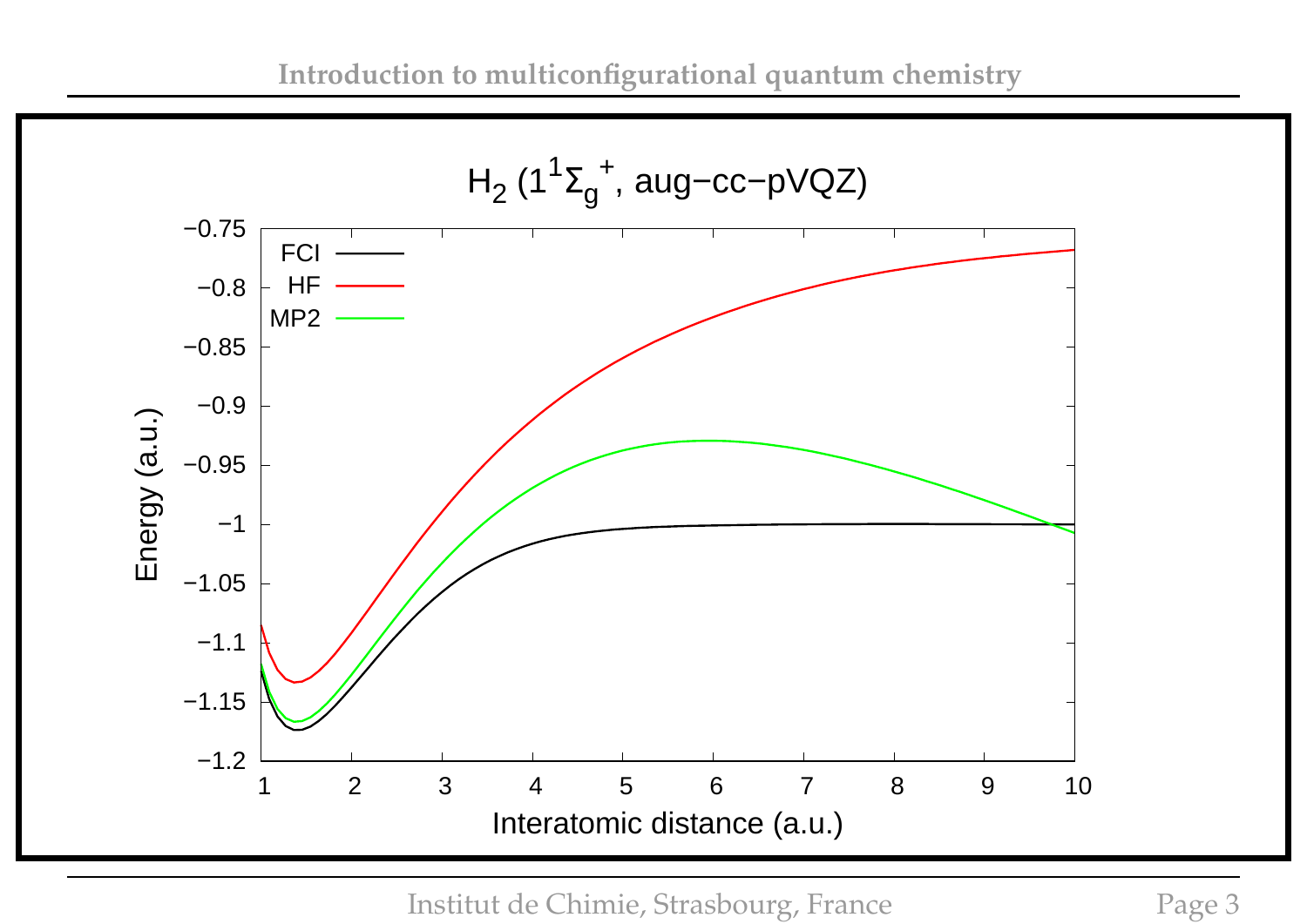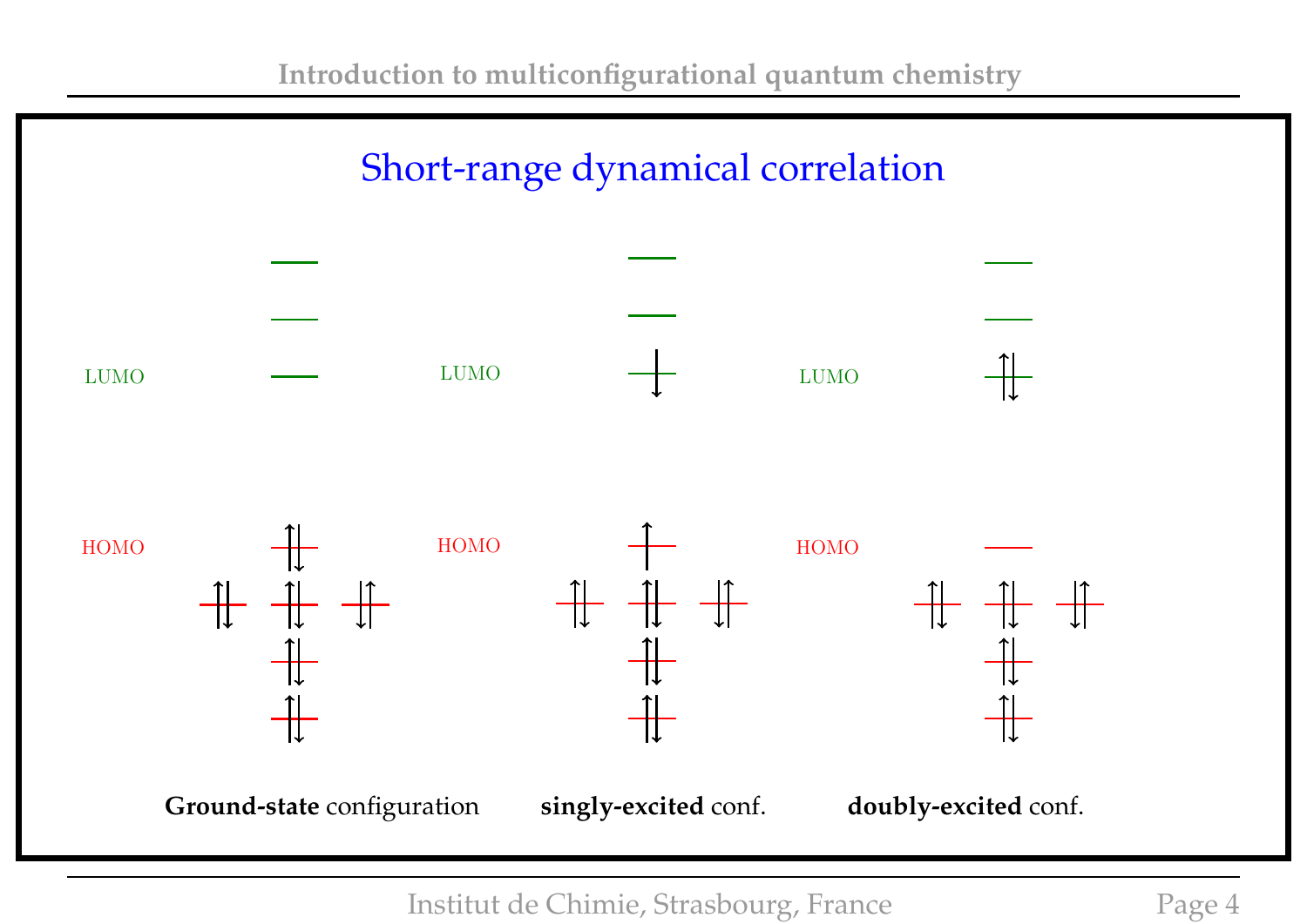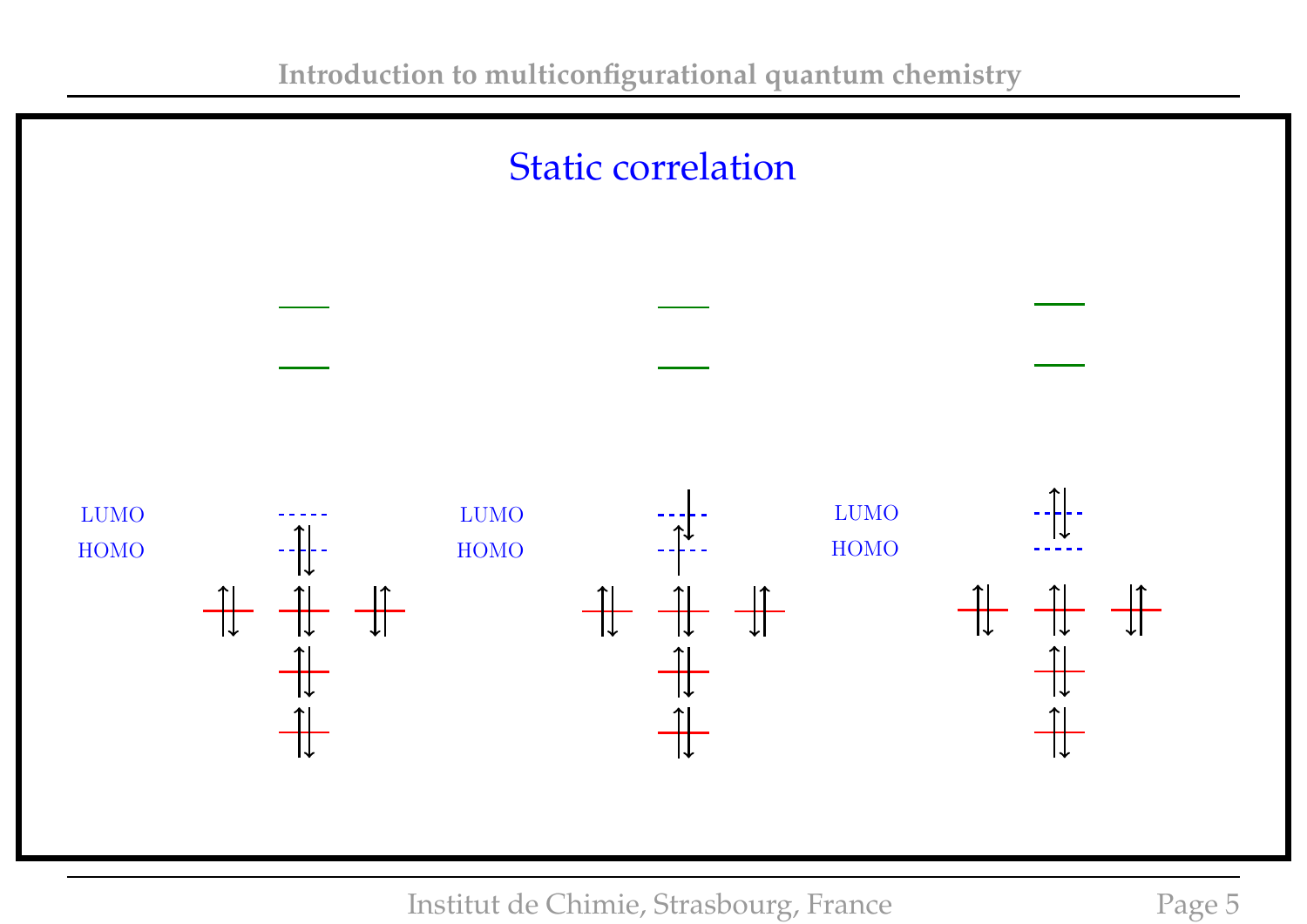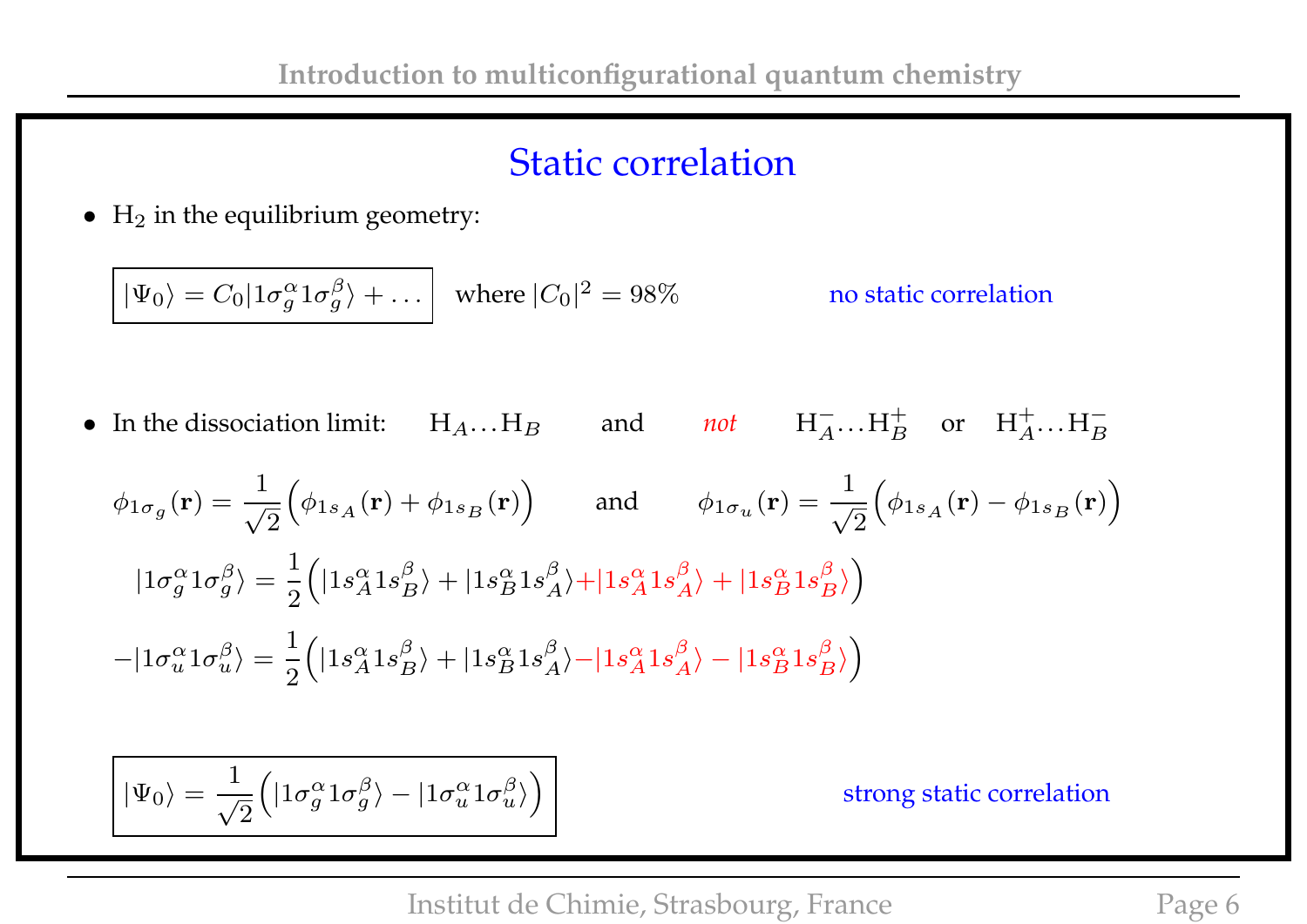#### Static correlation

 $\bullet$  H<sub>2</sub> in the equilibrium geometry:

$$
|\Psi_0\rangle = C_0 |1\sigma_g^{\alpha} 1\sigma_g^{\beta}\rangle + \dots
$$
 where  $|C_0|^2 = 98\%$  no static correlation

• In the dissociation limit:  $H_A...H_B$  and *not*  $H_A^ \overline{A} \cdots H_B^+$  or  $H_A^+ \cdots H_B^-$ 

$$
\phi_{1\sigma_g}(\mathbf{r}) = \frac{1}{\sqrt{2}} \Big( \phi_{1s_A}(\mathbf{r}) + \phi_{1s_B}(\mathbf{r}) \Big) \quad \text{and} \quad \phi_{1\sigma_u}(\mathbf{r}) = \frac{1}{\sqrt{2}} \Big( \phi_{1s_A}(\mathbf{r}) - \phi_{1s_B}(\mathbf{r}) \Big)
$$
  

$$
|1\sigma_g^{\alpha}1\sigma_g^{\beta}\rangle = \frac{1}{2} \Big( |1s_A^{\alpha}1s_B^{\beta}\rangle + |1s_B^{\alpha}1s_A^{\beta}\rangle + |1s_A^{\alpha}1s_A^{\beta}\rangle + |1s_B^{\alpha}1s_B^{\beta}\rangle \Big)
$$
  

$$
-|1\sigma_u^{\alpha}1\sigma_u^{\beta}\rangle = \frac{1}{2} \Big( |1s_A^{\alpha}1s_B^{\beta}\rangle + |1s_B^{\alpha}1s_A^{\beta}\rangle - |1s_A^{\alpha}1s_A^{\beta}\rangle - |1s_B^{\alpha}1s_B^{\beta}\rangle \Big)
$$

$$
\bigg|\ket{\Psi_0}=\frac{1}{\sqrt{2}}\Big(\ket{1\sigma_g^\alpha 1\sigma_g^\beta}-\ket{1\sigma_u^\alpha 1\sigma_u^\beta}\Big)
$$

strong static correlation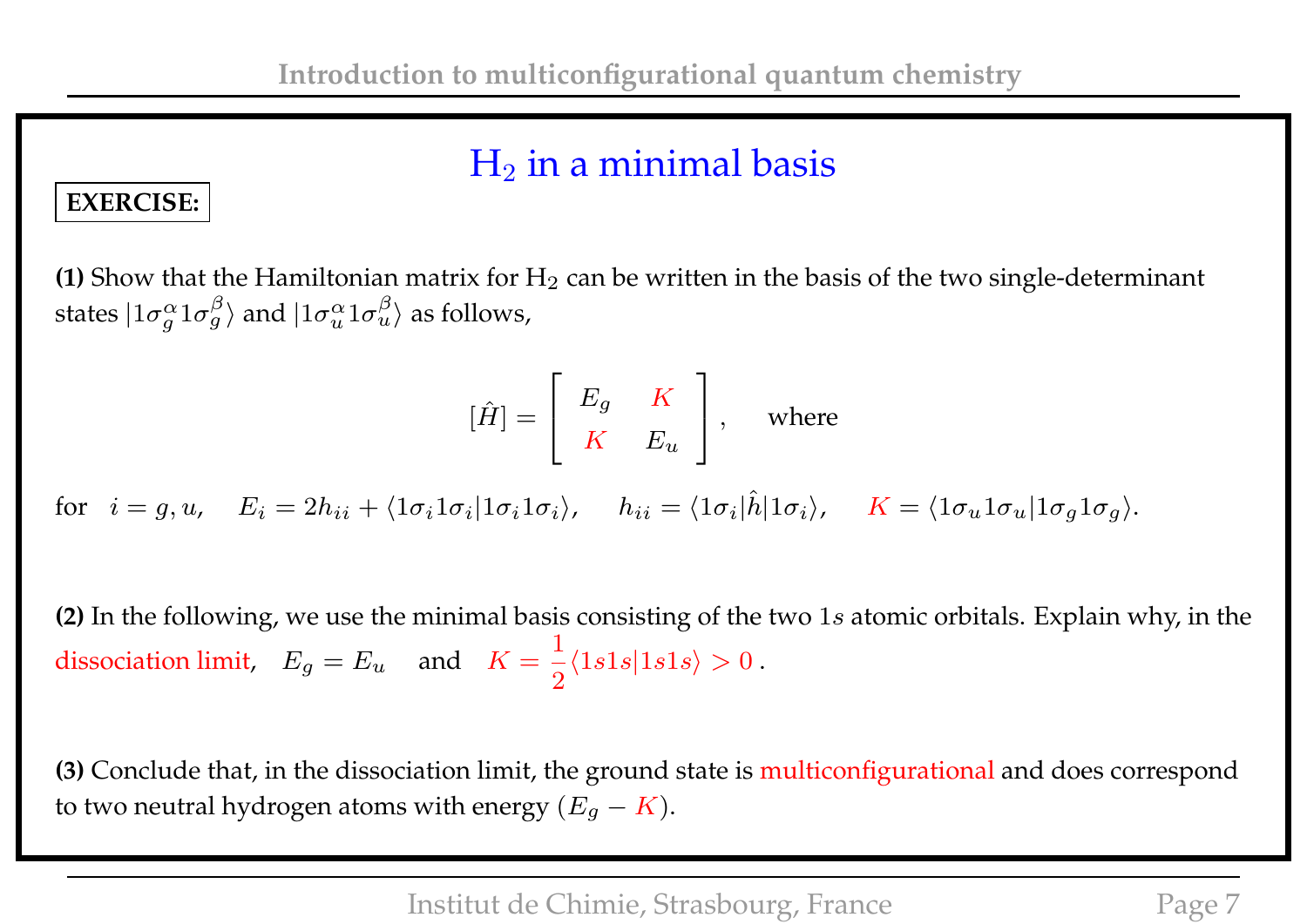## $H_2$  in a minimal basis

#### **EXERCISE:**

**(1)** Show that the Hamiltonian matrix for  $H_2$  can be written in the basis of the two single-determinant states  $|1\sigma^\alpha_q\>$  $\frac{\alpha}{g}1\sigma_{g}^{\beta}\rangle$  and  $|1\sigma_{u}^{\alpha}1\sigma_{u}^{\beta}\rangle$  as follows,

$$
[\hat{H}]=\left[\begin{array}{cc} E_g & K \\ K & E_u \end{array}\right], \quad \text{where} \quad
$$

 $\text{for} \hspace{0.3cm} i = g,u, \hspace{0.3cm} E_i = 2h_{ii} + \langle 1\sigma_i 1\sigma_i | 1\sigma_i 1\sigma_i \rangle, \hspace{0.3cm} h_{ii} = \langle 1\sigma_i | \hat{h} | 1\sigma_i \rangle, \hspace{0.3cm} K = \langle 1\sigma_u 1\sigma_u | 1\sigma_g 1\sigma_g \rangle.$ 

**(2)** In the following, we use the minimal basis consisting of the two 1s atomic orbitals. Explain why, in the dissociation limit,  $E_g = E_u$  and  $K =$ 1 2  $\langle 1s1s|1s1s \rangle > 0$ .

**(3)** Conclude that, in the dissociation limit, the ground state is multiconfigurational and does correspond to two neutral hydrogen atoms with energy  $(E_q - K)$ .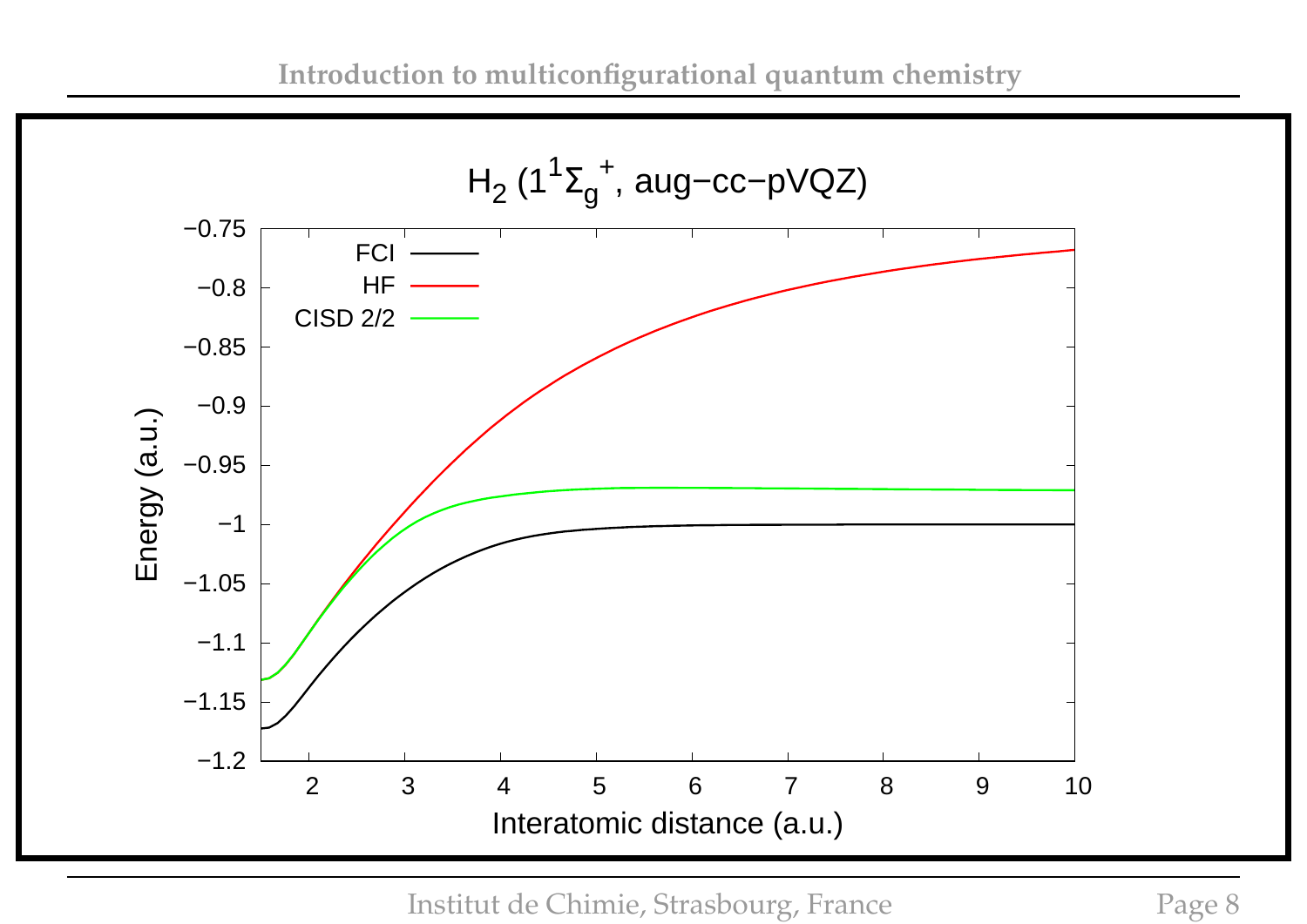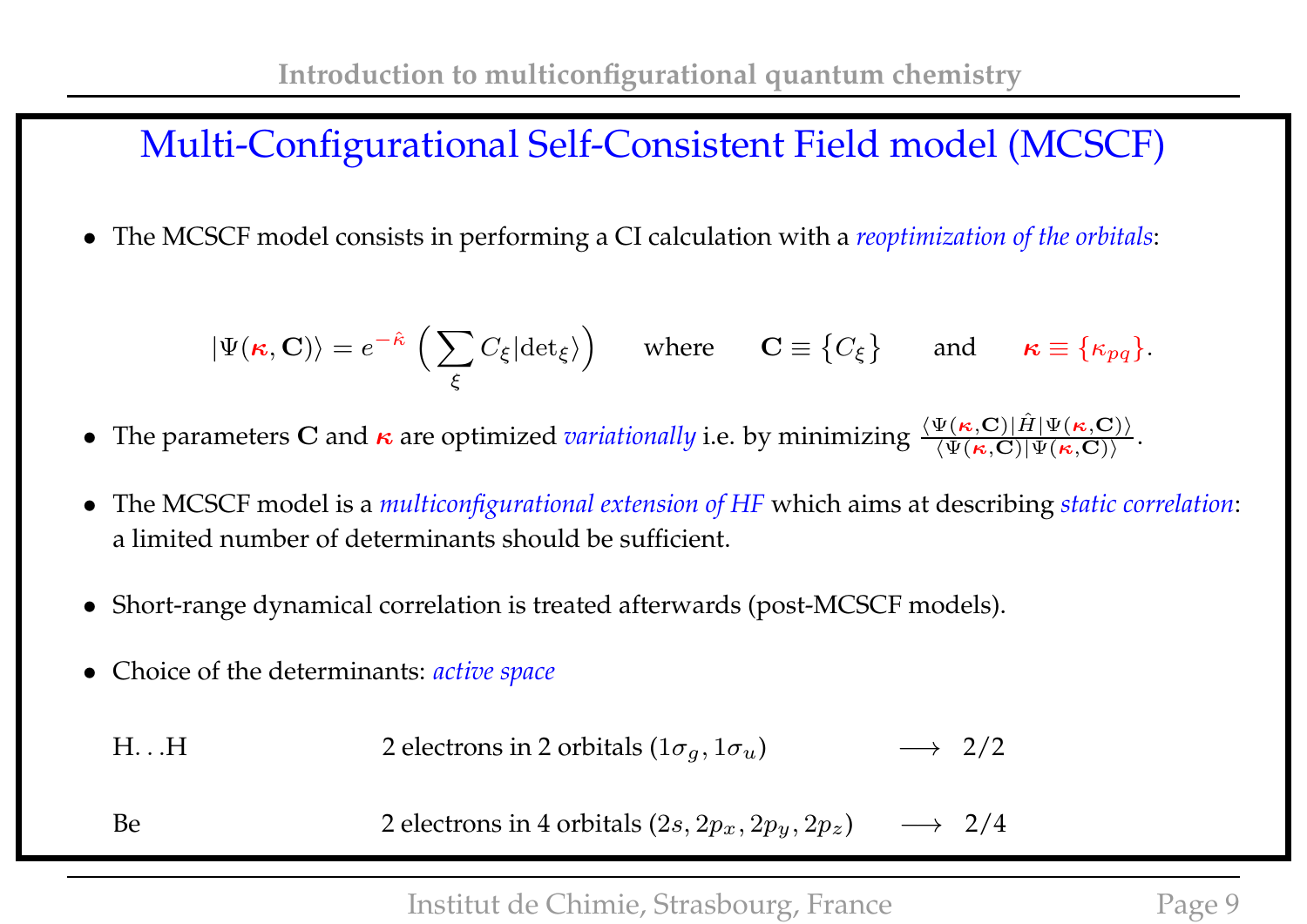#### Multi-Configurational Self-Consistent Field model (MCSCF)

• The MCSCF model consists in performing a CI calculation with a *reoptimization of the orbitals*:

$$
|\Psi(\kappa, \mathbf{C})\rangle = e^{-\hat{\kappa}} \left( \sum_{\xi} C_{\xi} |\text{det}_{\xi} \rangle \right)
$$
 where  $\mathbf{C} \equiv \{C_{\xi}\}$  and  $\kappa \equiv \{\kappa_{pq}\}.$ 

- The parameters C and  $\kappa$  are optimized *variationally* i.e. by minimizing  $\frac{\langle \Psi(\kappa, \mathbf{C}) | \hat{H} | \Psi(\kappa, \mathbf{C}) \rangle}{\langle \Psi(\kappa, \mathbf{C}) | \Psi(\kappa, \mathbf{C}) \rangle}$ .
- The MCSCF model is a *multiconfigurational extension of HF* which aims at describing *static correlation*: a limited number of determinants should be sufficient.
- Short-range dynamical correlation is treated afterwards (post-MCSCF models).
- Choice of the determinants: *active space*

| $H_{\cdot\cdot}$ .H | 2 electrons in 2 orbitals $(1\sigma_q, 1\sigma_u)$ | $\longrightarrow$ 2/2 |  |
|---------------------|----------------------------------------------------|-----------------------|--|
| Be                  | 2 electrons in 4 orbitals $(2s, 2p_x, 2p_y, 2p_z)$ | $\longrightarrow$ 2/4 |  |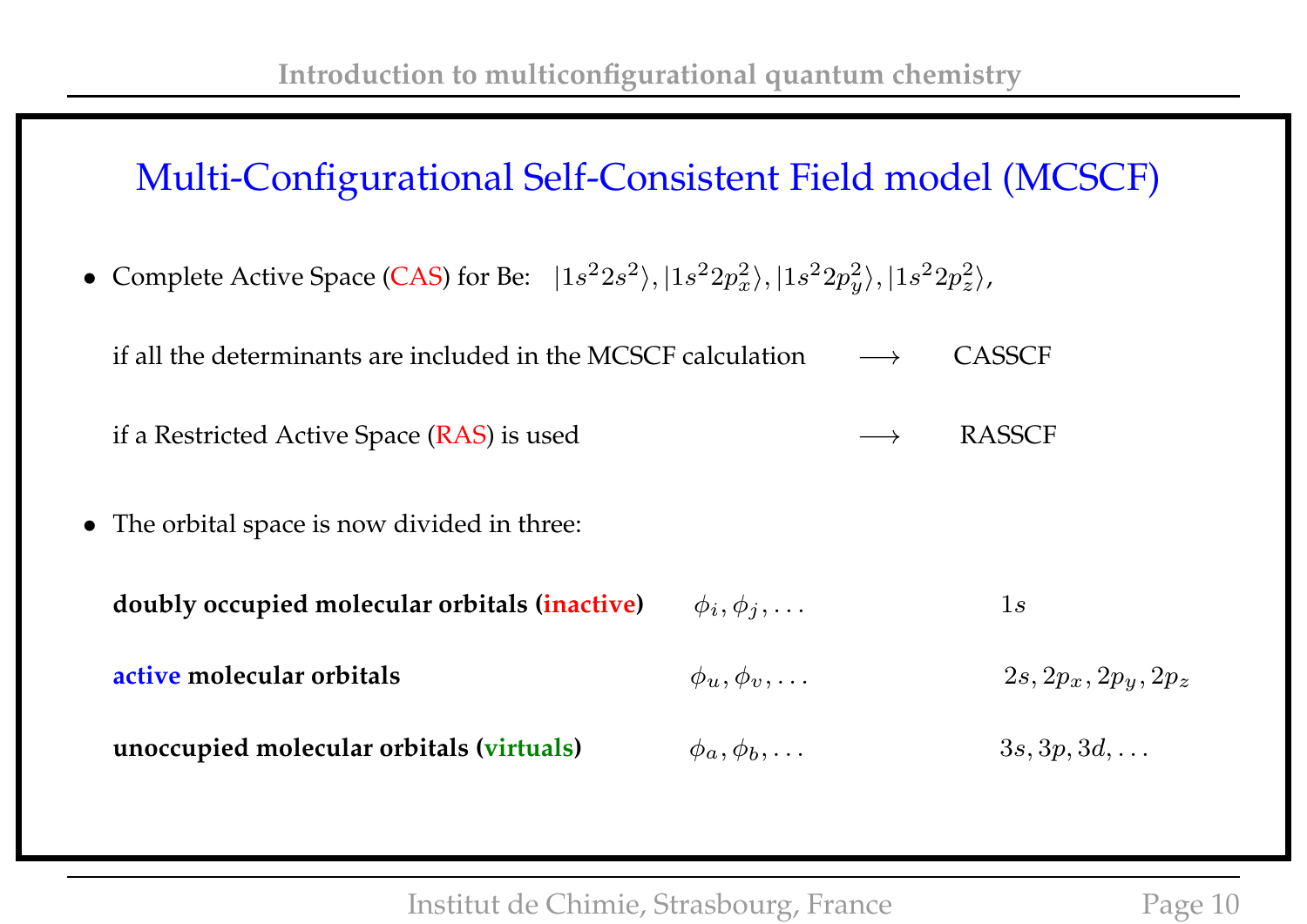### Multi-Configurational Self-Consistent Field model (MCSCF)

• Complete Active Space (CAS) for Be:  $|1s^22s^2\rangle, |1s^22p_x^2\rangle, |1s^22p_y^2\rangle$  $\langle x^2\rangle, |1s^2 2p_z^2\rangle$  $\binom{2}{z}$ ,

| if all the determinants are included in the MCSCF calculation $\longrightarrow$ CASSCF |                   |        |
|----------------------------------------------------------------------------------------|-------------------|--------|
| if a Restricted Active Space (RAS) is used                                             | $\longrightarrow$ | RASSCE |

• The orbital space is now divided in three:

| doubly occupied molecular orbitals (inactive) | $\phi_i, \phi_j, \ldots$ | $\perp s$              |
|-----------------------------------------------|--------------------------|------------------------|
| active molecular orbitals                     | $\phi_u, \phi_v, \ldots$ | $2s, 2p_x, 2p_y, 2p_z$ |
| unoccupied molecular orbitals (virtuals)      | $\phi_a, \phi_b, \ldots$ | $3s, 3p, 3d, \ldots$   |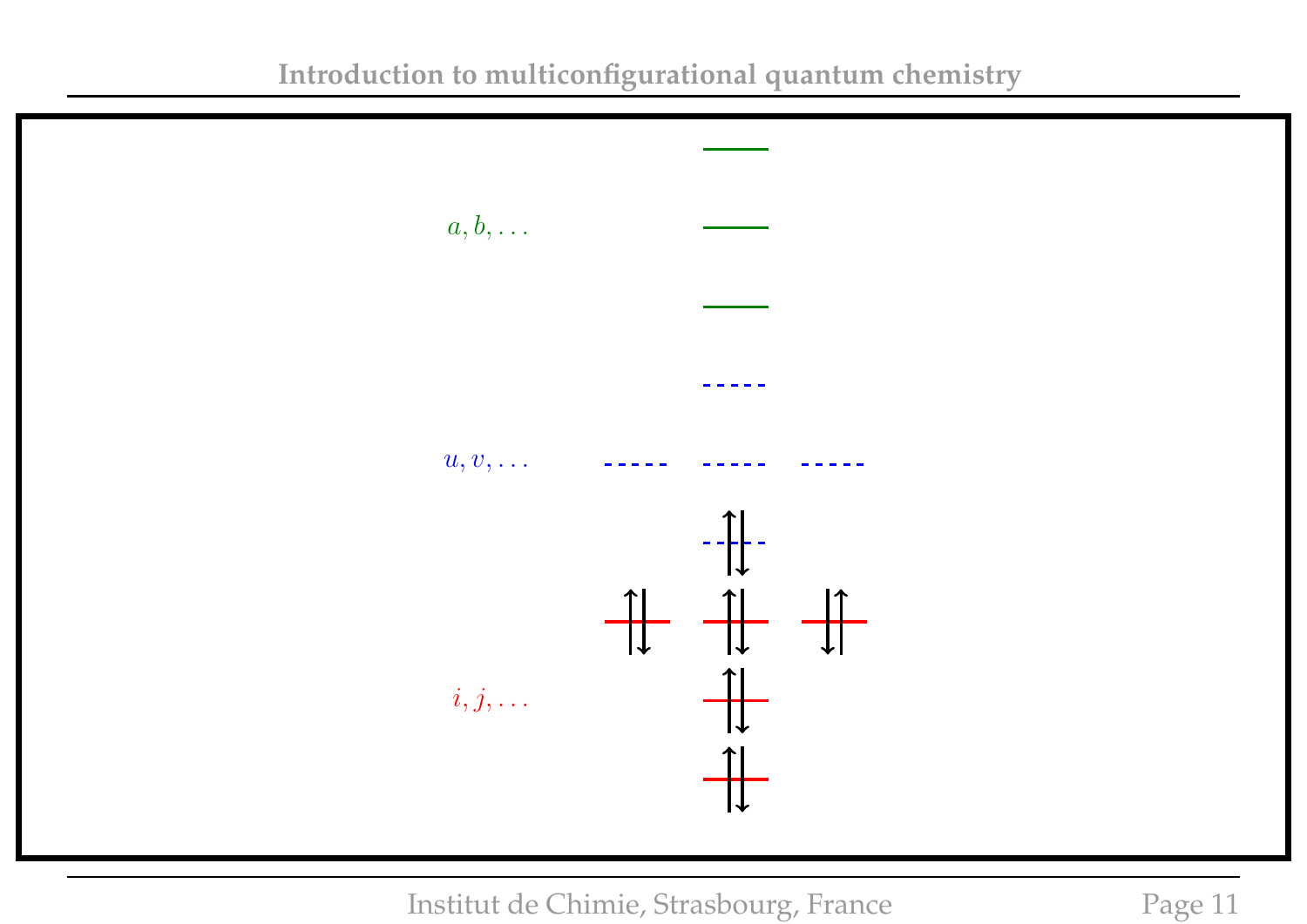

**Introduction to multiconfigurational quantum chemistry**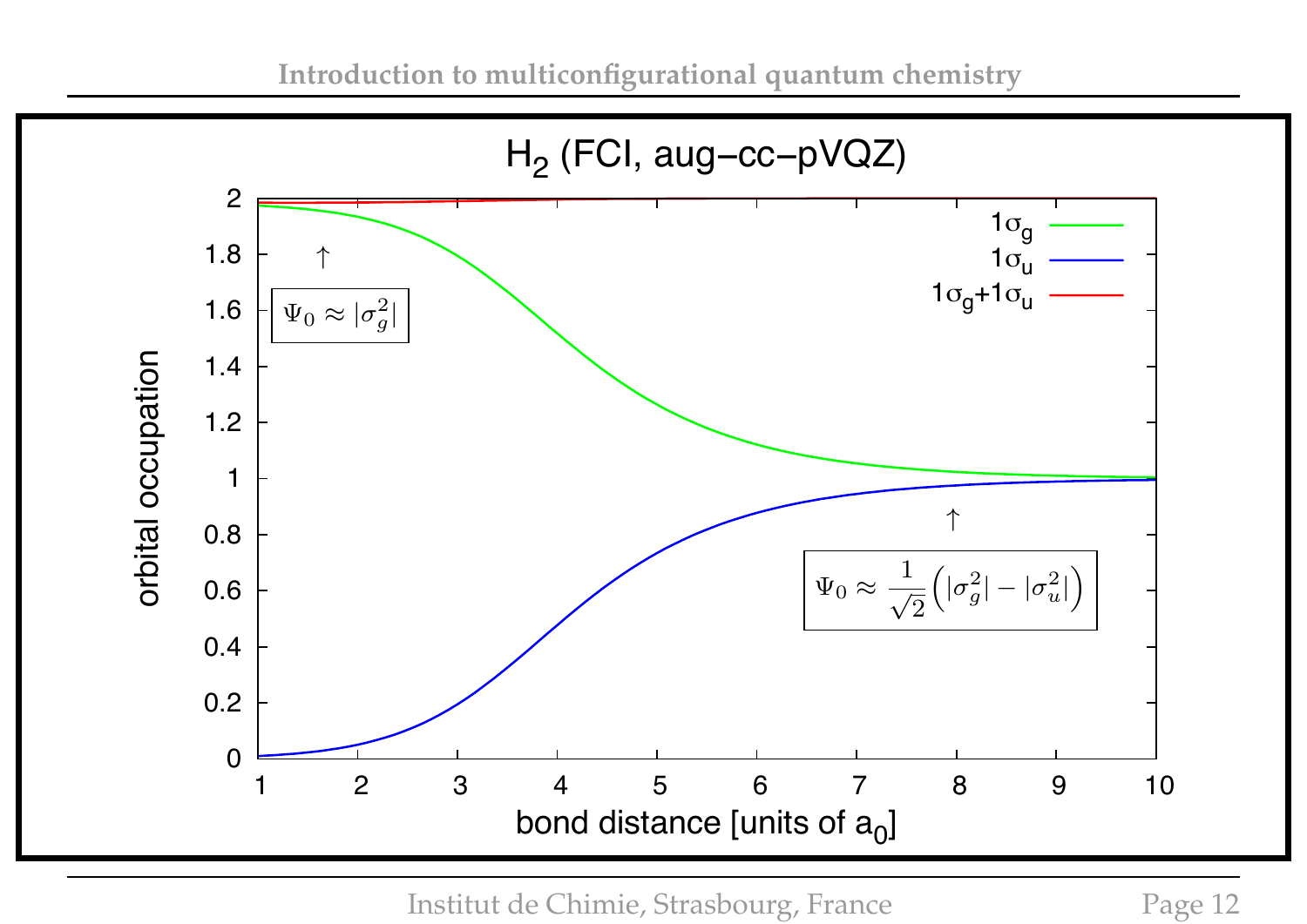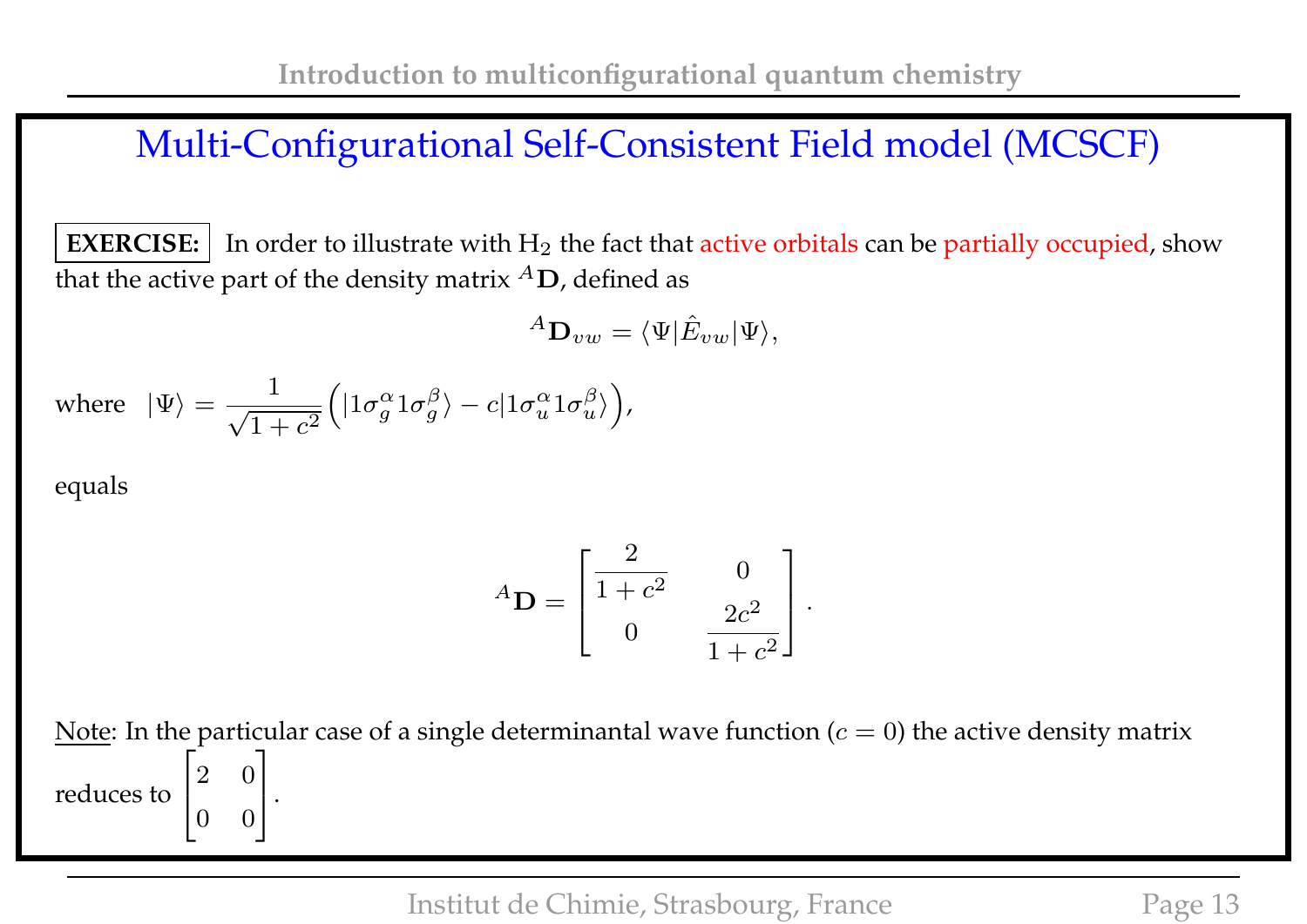#### Multi-Configurational Self-Consistent Field model (MCSCF)

**EXERCISE:** In order to illustrate with  $H_2$  the fact that active orbitals can be partially occupied, show that the active part of the density matrix  ${}^A\mathbf{D}$ , defined as

$$
{}^A\mathbf{D}_{vw} = \langle \Psi | \hat{E}_{vw} | \Psi \rangle,
$$

where 
$$
|\Psi\rangle = \frac{1}{\sqrt{1+c^2}} \Big( |1\sigma_g^{\alpha} 1\sigma_g^{\beta}\rangle - c |1\sigma_u^{\alpha} 1\sigma_u^{\beta}\rangle \Big),
$$

equals

$$
{}^{A}\mathbf{D} = \begin{bmatrix} \frac{2}{1+c^2} & 0 \\ 0 & \frac{2c^2}{1+c^2} \end{bmatrix}.
$$

Note: In the particular case of a single determinantal wave function ( $c = 0$ ) the active density matrix reduces to  $\sqrt{ }$  $\overline{1}$ 2 0 0 0 1  $\vert \cdot$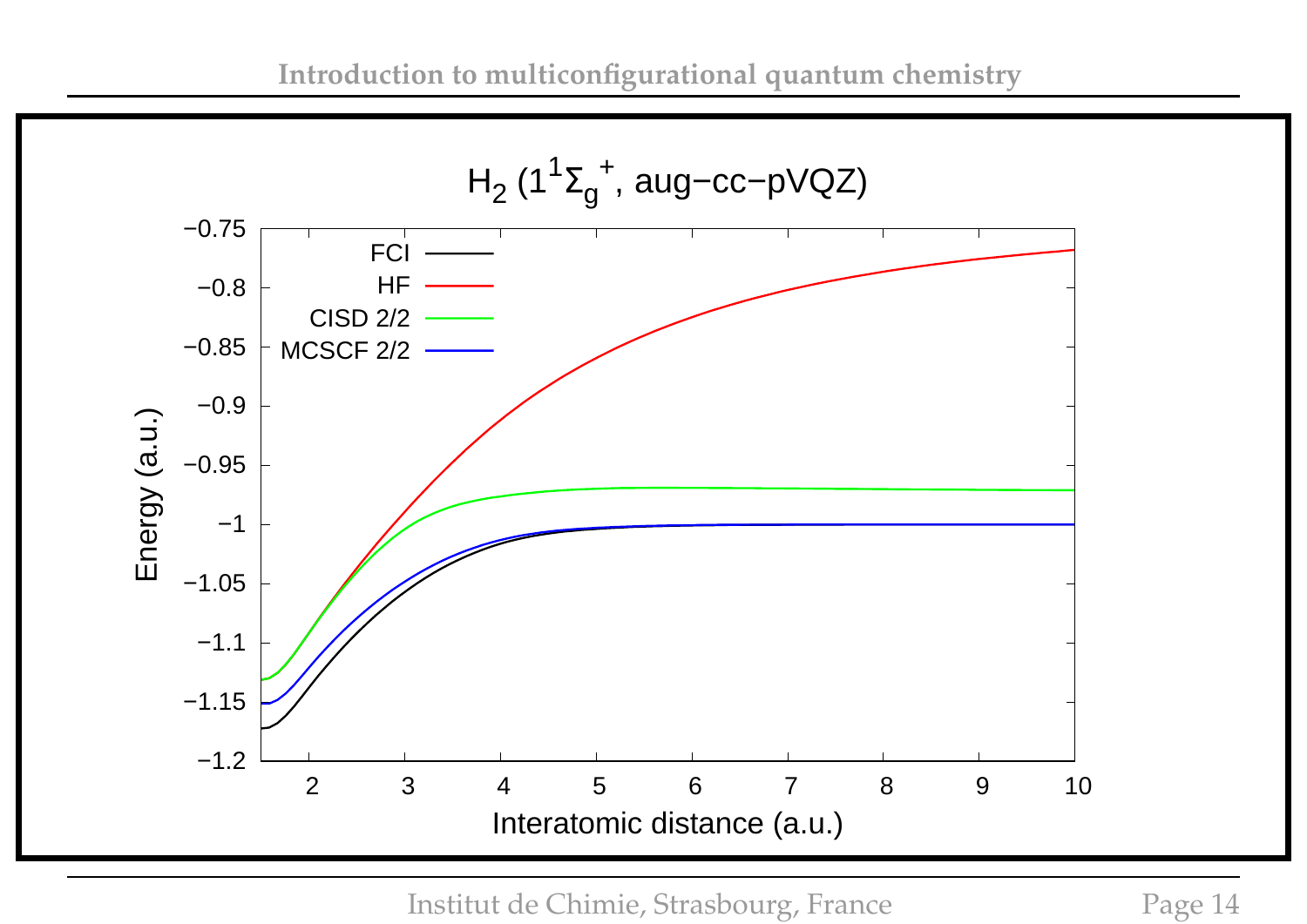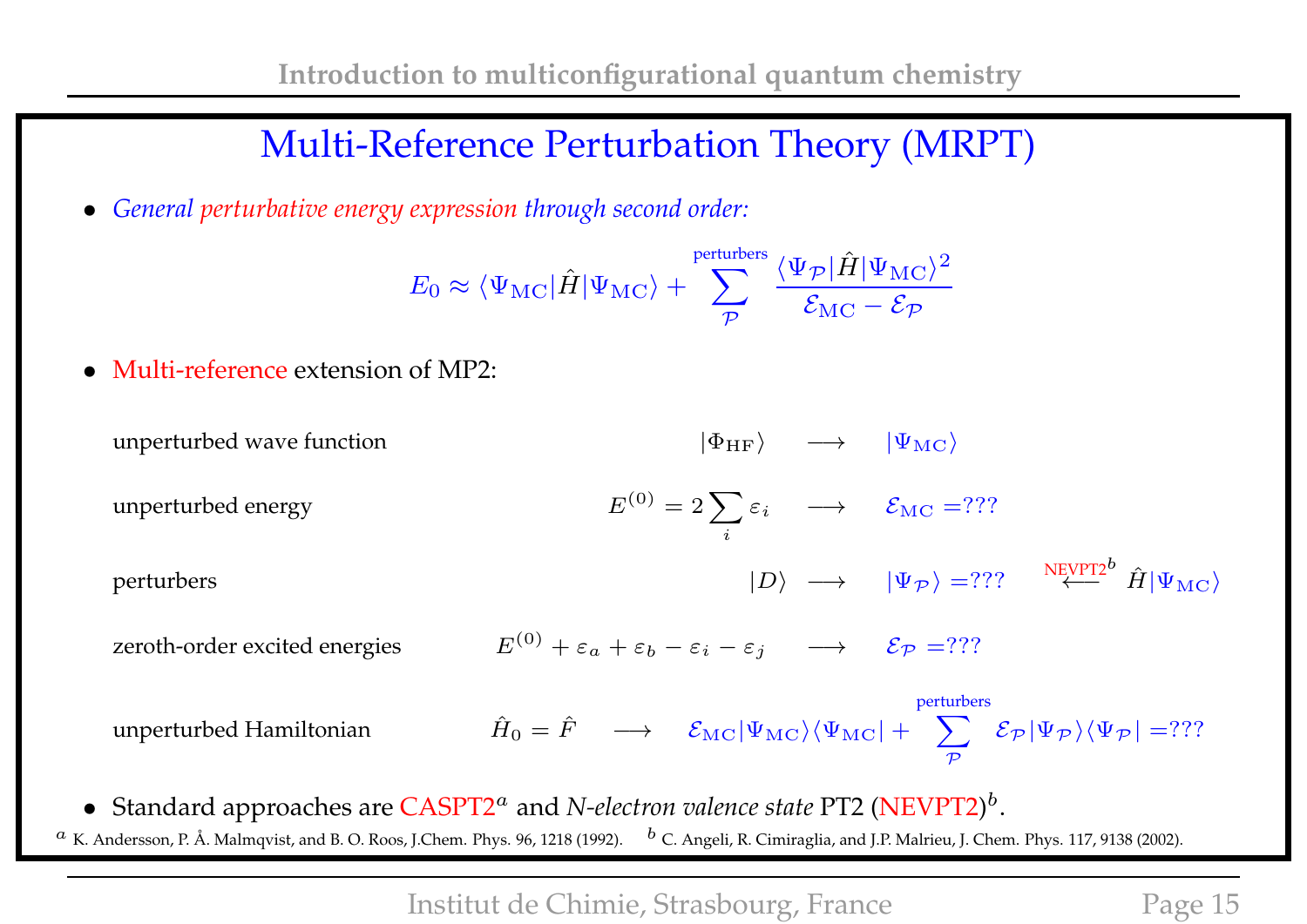## Multi-Reference Perturbation Theory (MRPT)

• *General perturbative energy expression through second order:*

$$
E_0 \approx \langle \Psi_{\rm MC} | \hat{H} | \Psi_{\rm MC} \rangle + \sum_{\mathcal{P}}^{\text{perturbers}} \frac{\langle \Psi_{\mathcal{P}} | \hat{H} | \Psi_{\rm MC} \rangle^2}{\mathcal{E}_{\rm MC} - \mathcal{E}_{\mathcal{P}}}
$$

• Multi-reference extension of MP2:

unperturbed wave function  $|\Phi_{HF}\rangle$   $\longrightarrow$   $|\Psi_{MC}\rangle$ unperturbed energy  $^{(0)} = 2 \sum$ i  $\varepsilon_i \quad \longrightarrow \quad \mathcal{E}_{\mathrm{MC}} = ? ? ?$ perturbers  $|D\rangle \hspace{.1cm} \longrightarrow \hspace{.1cm} |\Psi_{\cal P}\rangle = ? ? ? \hspace{.3cm} \stackrel{\rm NEVPT2^b}{\longleftarrow} \hat{H} |\Psi_{\rm MC}\rangle$ zeroth-order excited energies  $E^{(0)} + \varepsilon_a + \varepsilon_b - \varepsilon_i - \varepsilon_j \longrightarrow \mathcal{E}_{\mathcal{P}} =$ ??? unperturbed Hamiltonian  $\hat{H}_0 = \hat{F} \quad \longrightarrow \quad \mathcal{E}_{\mathrm{MC}} |\Psi_{\mathrm{MC}}\rangle\langle\Psi_{\mathrm{MC}}| + \quad \sum_{\mathrm{MC}} \hat{F}_{\mathrm{MC}}$ perturbers  $\mathcal P$  $\mathcal{E}_{\mathcal{P}} |\Psi_{\mathcal{P}}\rangle \langle \Psi_{\mathcal{P}}| =$ ???

• Standard approaches are CASPT2<sup>*a*</sup> and *N-electron valence state* PT2 (NEVPT2)<sup>*b*</sup>.  $^a$  K. Andersson, P. Å. Malmqvist, and B. O. Roos, J.Chem. Phys. 96, 1218 (1992).  $^b$  C. Angeli, R. Cimiraglia, and J.P. Malrieu, J. Chem. Phys. 117, 9138 (2002).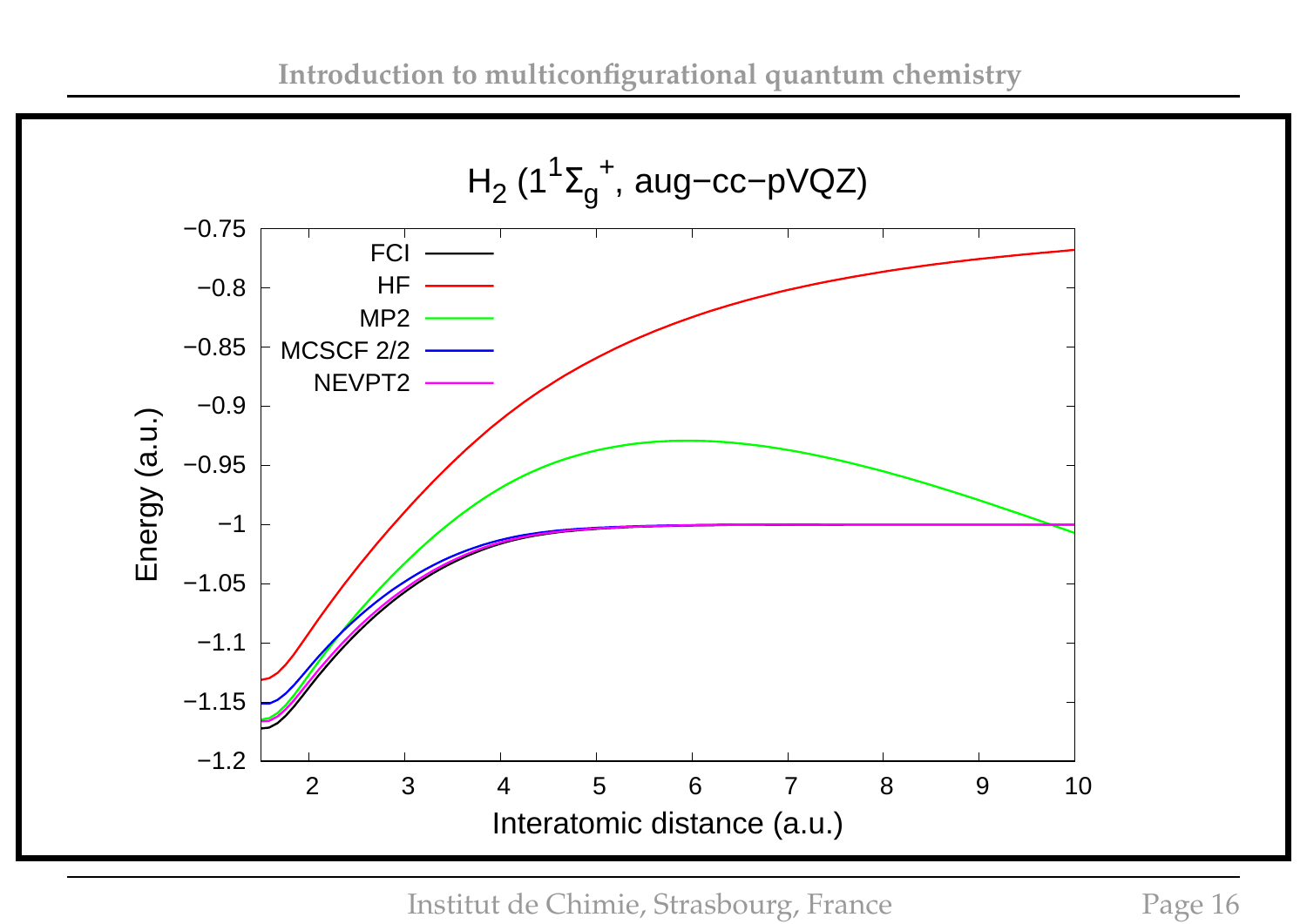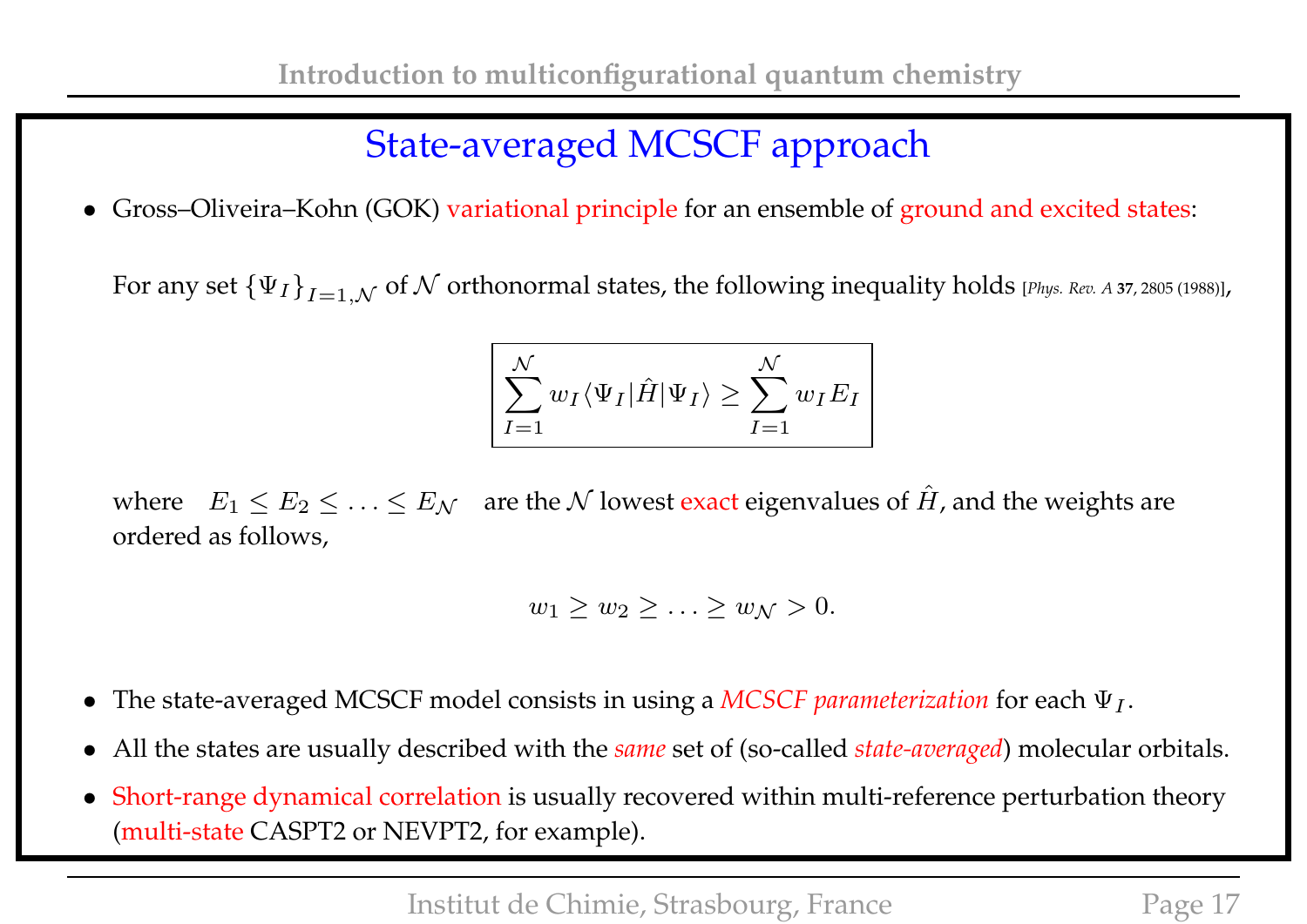# State-averaged MCSCF approach

• Gross–Oliveira–Kohn (GOK) variational principle for an ensemble of ground and excited states:

For any set  $\{\Psi_I\}_{I=1,\mathcal{N}}$  of  $\mathcal N$  orthonormal states, the following inequality holds [Phys. Rev. A 37, 2805 (1988)],

$$
\sum_{I=1}^{N} w_I \langle \Psi_I | \hat{H} | \Psi_I \rangle \ge \sum_{I=1}^{N} w_I E_I
$$

where  $E_1 \le E_2 \le \ldots \le E_N$  are the N lowest exact eigenvalues of  $\hat{H}$ , and the weights are ordered as follows,

$$
w_1 \ge w_2 \ge \ldots \ge w_{\mathcal{N}} > 0.
$$

- The state-averaged MCSCF model consists in using a *MCSCF parameterization* for each  $\Psi_I$ .
- All the states are usually described with the *same* set of (so-called *state-averaged*) molecular orbitals.
- Short-range dynamical correlation is usually recovered within multi-reference perturbation theory (multi-state CASPT2 or NEVPT2, for example).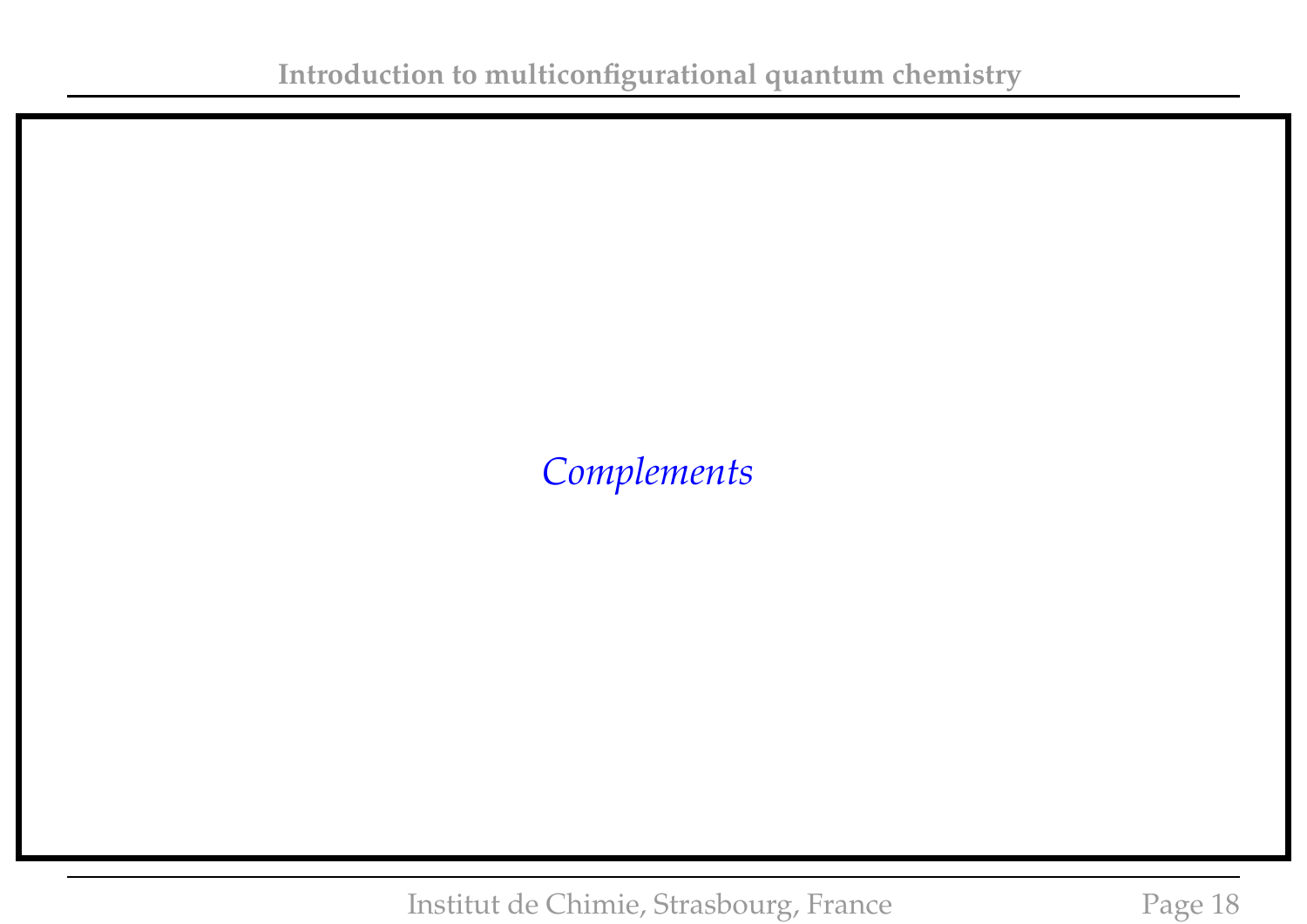### *Complements*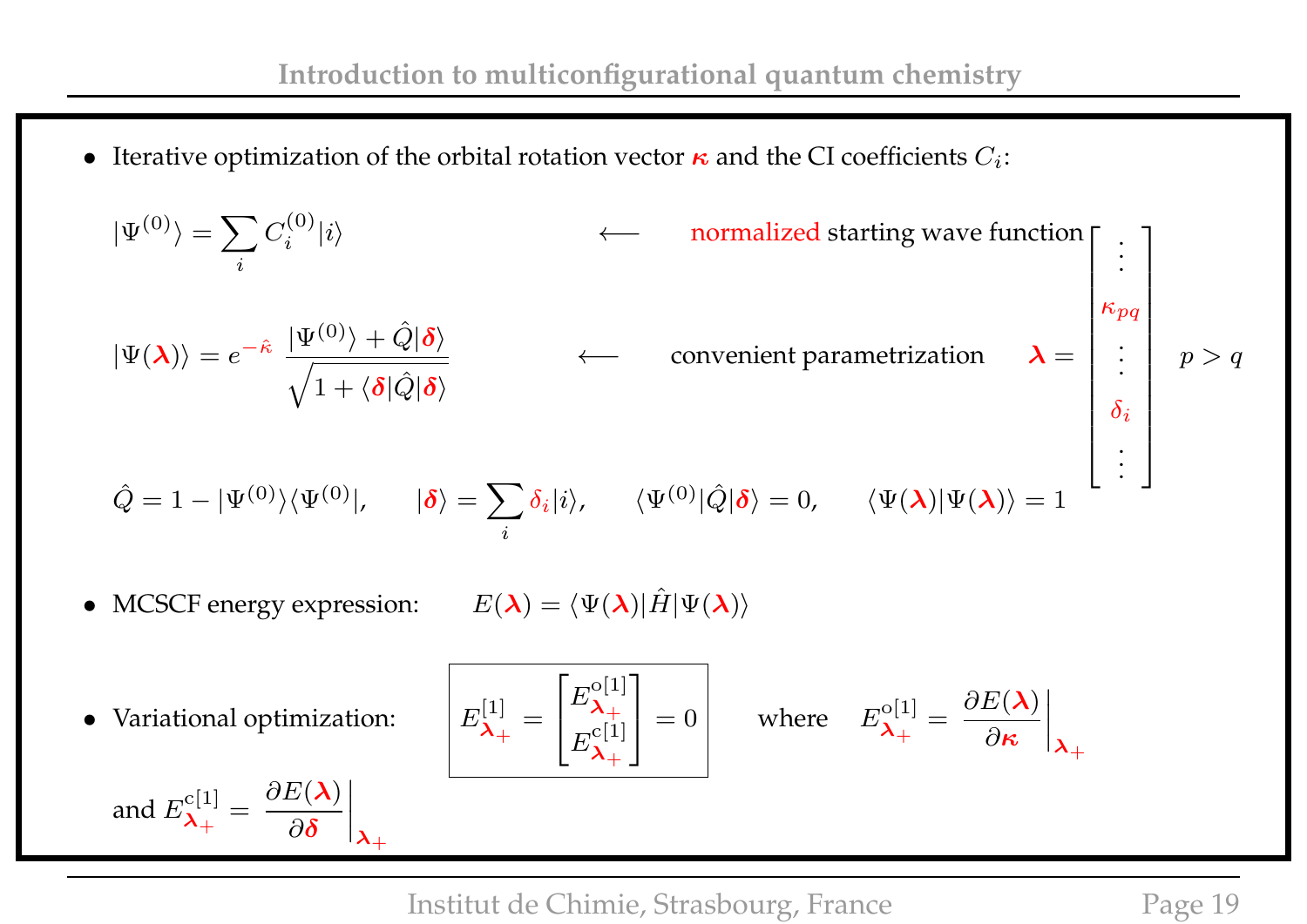• Iterative optimization of the orbital rotation vector  $\kappa$  and the CI coefficients  $C_i$ :

$$
|\Psi^{(0)}\rangle = \sum_{i} C_{i}^{(0)}|i\rangle \qquad \longleftarrow \text{ normalized starting wave function}
$$
\n
$$
|\Psi(\lambda)\rangle = e^{-\hat{\kappa}} \frac{|\Psi^{(0)}\rangle + \hat{Q}|\delta\rangle}{\sqrt{1 + \langle \delta|\hat{Q}|\delta\rangle}} \qquad \longleftarrow \text{ convenient parametrization} \qquad \lambda = \begin{bmatrix} \vdots \\ \kappa_{pq} \\ \vdots \\ \kappa_{pq} \end{bmatrix} p > q
$$
\n
$$
\hat{Q} = 1 - |\Psi^{(0)}\rangle\langle\Psi^{(0)}|, \quad |\delta\rangle = \sum_{i} \delta_{i}|i\rangle, \quad \langle\Psi^{(0)}|\hat{Q}|\delta\rangle = 0, \quad \langle\Psi(\lambda)|\Psi(\lambda)\rangle = 1
$$
\n• MCSCF energy expression:  $E(\lambda) = \langle\Psi(\lambda)|\hat{H}|\Psi(\lambda)\rangle$   
\n• Variational optimization: 
$$
E_{\lambda_{+}}^{[1]} = \begin{bmatrix} E_{\lambda_{+}}^{[0]} \\ E_{\lambda_{+}}^{[1]} \end{bmatrix} = 0 \qquad \text{where} \quad E_{\lambda_{+}}^{[0]} = \frac{\partial E(\lambda)}{\partial \kappa}\Big|_{\lambda_{+}}
$$
\nand  $E_{\lambda_{+}}^{[1]} = \frac{\partial E(\lambda)}{\partial \delta}\Big|_{\lambda_{+}}$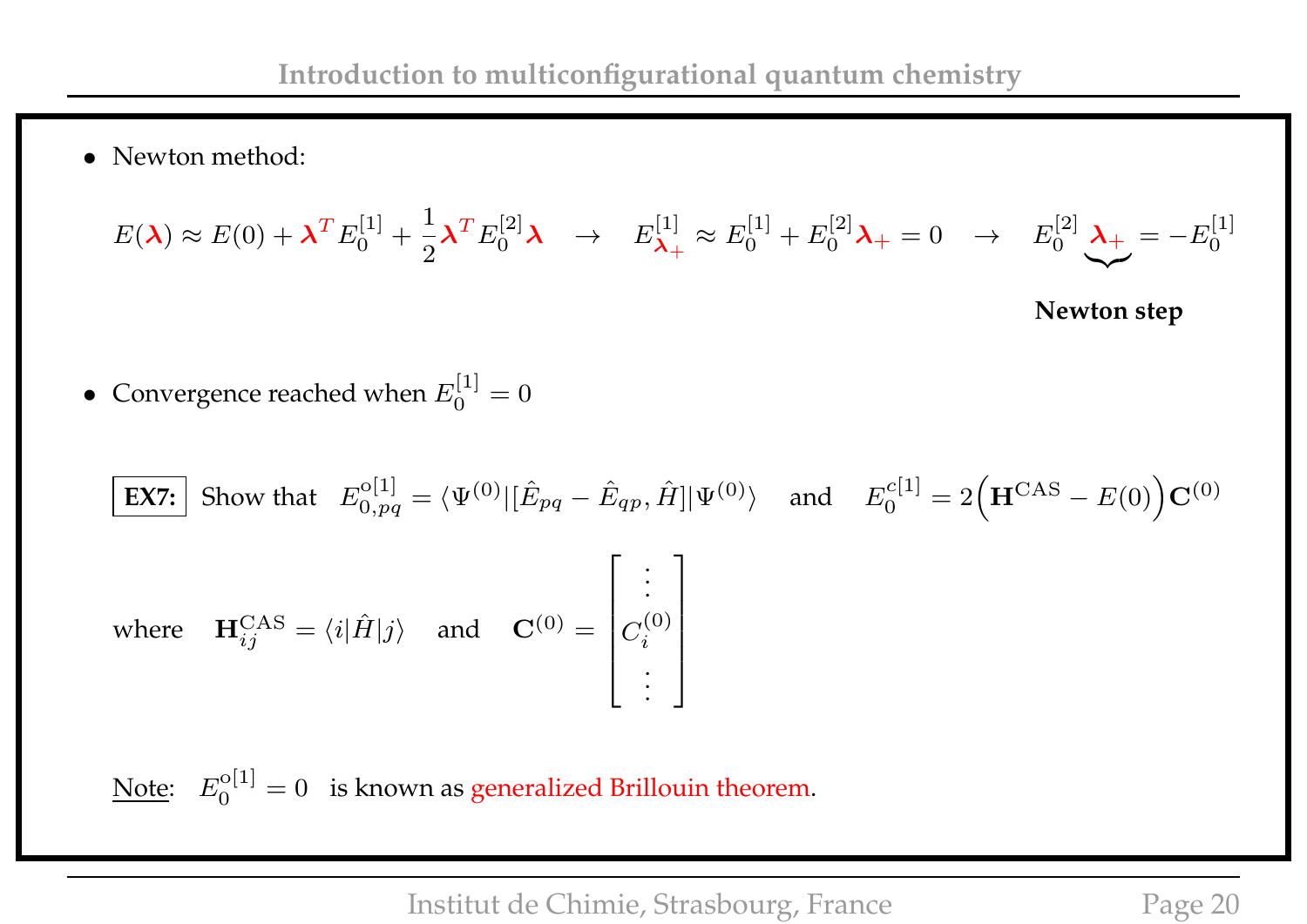• Newton method:

$$
E(\lambda) \approx E(0) + \lambda^T E_0^{[1]} + \frac{1}{2} \lambda^T E_0^{[2]} \lambda \rightarrow E_{\lambda_+}^{[1]} \approx E_0^{[1]} + E_0^{[2]} \lambda_+ = 0 \rightarrow E_0^{[2]} \lambda_+ = -E_0^{[1]}
$$

**Newton step**

• Convergence reached when  $E_0^{[1]}$  $\binom{1}{0} = 0$ 

$$
\begin{aligned}\n\boxed{\text{EX7:}} \quad \text{Show that} \quad E_{0,pq}^{\text{o}[1]} &= \langle \Psi^{(0)} | [\hat{E}_{pq} - \hat{E}_{qp}, \hat{H}] | \Psi^{(0)} \rangle \quad \text{and} \quad E_0^{c[1]} = 2 \Big( \mathbf{H}^{\text{CAS}} - E(0) \Big) \mathbf{C}^{(0)} \\
\text{where} \quad \mathbf{H}_{ij}^{\text{CAS}} &= \langle i | \hat{H} | j \rangle \quad \text{and} \quad \mathbf{C}^{(0)} = \begin{bmatrix} \vdots \\ C_i^{(0)} \\ \vdots \end{bmatrix}\n\end{aligned}
$$

Note:  $E_0^{\rm o[1]}$  $\mathcal{L}_0^{[0]1]} = 0$  is known as generalized Brillouin theorem.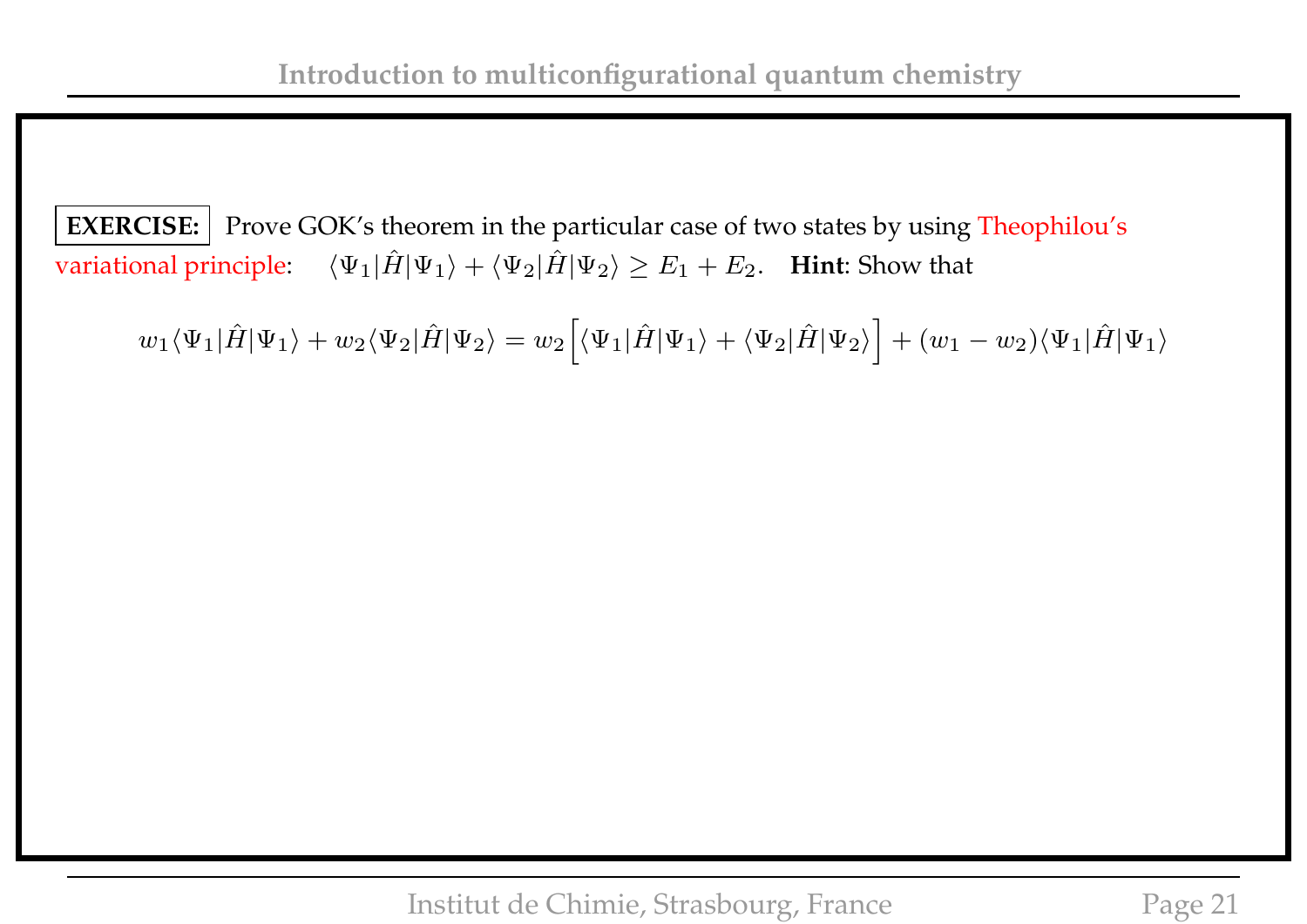**EXERCISE:** Prove GOK's theorem in the particular case of two states by using Theophilou's variational principle:  $\langle \Psi_1 | \hat{H} | \Psi_1 \rangle + \langle \Psi_2 | \hat{H} | \Psi_2 \rangle \ge E_1 + E_2$ . **Hint**: Show that

 $w_1\langle\Psi_1|\hat{H}|\Psi_1\rangle + w_2\langle\Psi_2|\hat{H}|\Psi_2\rangle = w_2\Big[\langle\Psi_1|\hat{H}|\Psi_1\rangle + \langle\Psi_2|\hat{H}|\Psi_2\rangle\Big] + (w_1-w_2)\langle\Psi_1|\hat{H}|\Psi_1\rangle$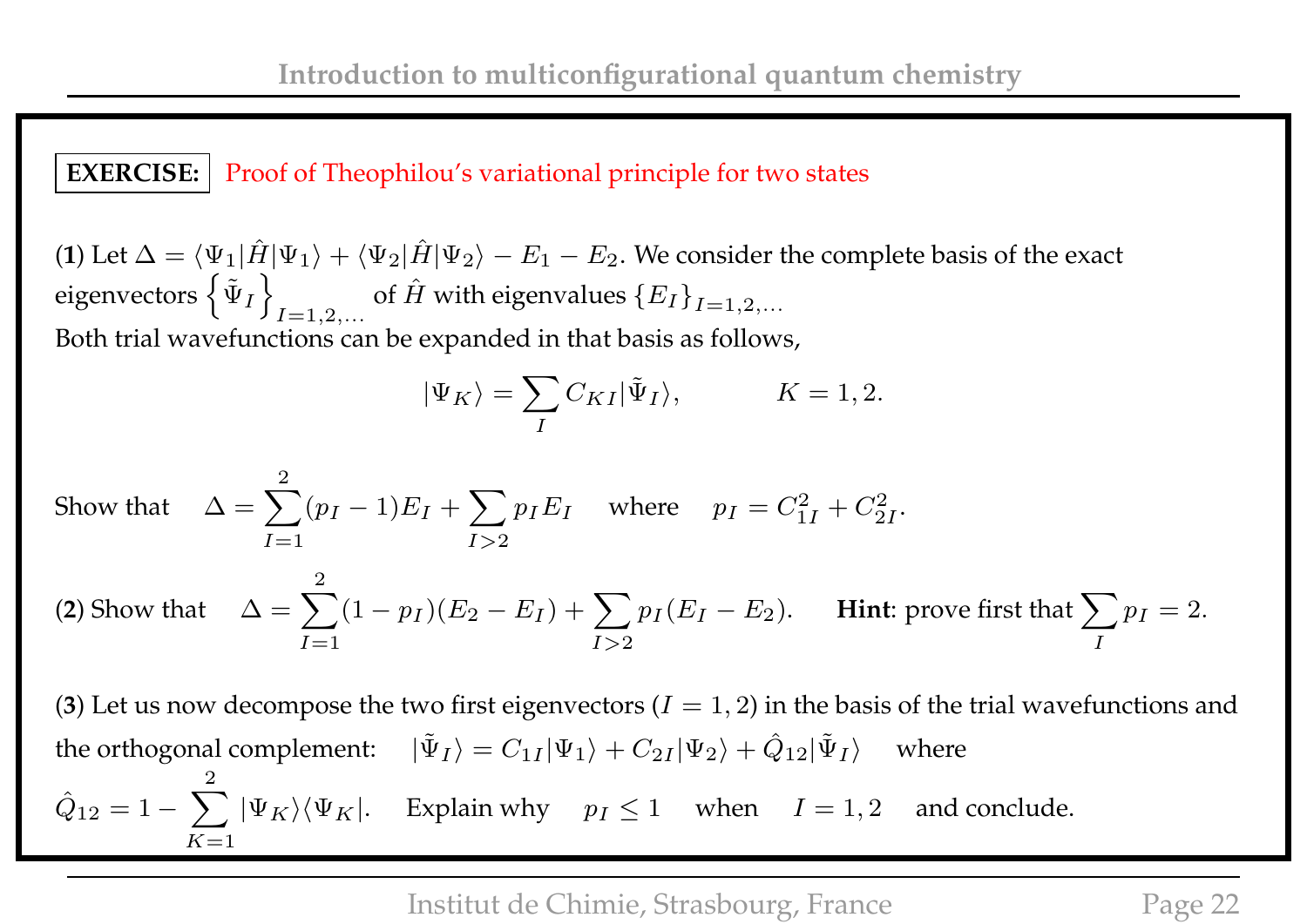#### **EXERCISE:** Proof of Theophilou's variational principle for two states

(**1**) Let  $\Delta = \langle \Psi_1 | \hat{H} | \Psi_1 \rangle + \langle \Psi_2 | \hat{H} | \Psi_2 \rangle - E_1 - E_2$ . We consider the complete basis of the exact eigenvectors  $\left\{ \tilde{\Psi}_I\right.$ o  $I=1,2,...$ of  $\hat{H}$  with eigenvalues  $\{E_I\}_{I=1,2,...}$ Both trial wavefunctions can be expanded in that basis as follows,

$$
|\Psi_K\rangle = \sum_{I} C_{KI} |\tilde{\Psi}_I\rangle, \qquad K = 1, 2.
$$

Show that 
$$
\Delta = \sum_{I=1}^{2} (p_I - 1) E_I + \sum_{I>2} p_I E_I
$$
 where  $p_I = C_{1I}^2 + C_{2I}^2$ .  
\n(2) Show that  $\Delta = \sum_{I=1}^{2} (1 - p_I)(E_2 - E_I) + \sum_{I>2} p_I (E_I - E_2)$ . **Hint: prove first that**  $\sum_{I} p_I = 2$ .

(3) Let us now decompose the two first eigenvectors  $(I = 1, 2)$  in the basis of the trial wavefunctions and the orthogonal complement:  $|\tilde{\Psi}_I\rangle = C_{1I} |\Psi_1\rangle + C_{2I} |\Psi_2\rangle + \hat{Q}_{12} |\tilde{\Psi}_I\rangle$  where  $\hat{Q}_{12} = 1 - \sum$ 2  $K=1$  $|\Psi_K\rangle\langle\Psi_K|$ . Explain why  $p_I \leq 1$  when  $I = 1, 2$  and conclude.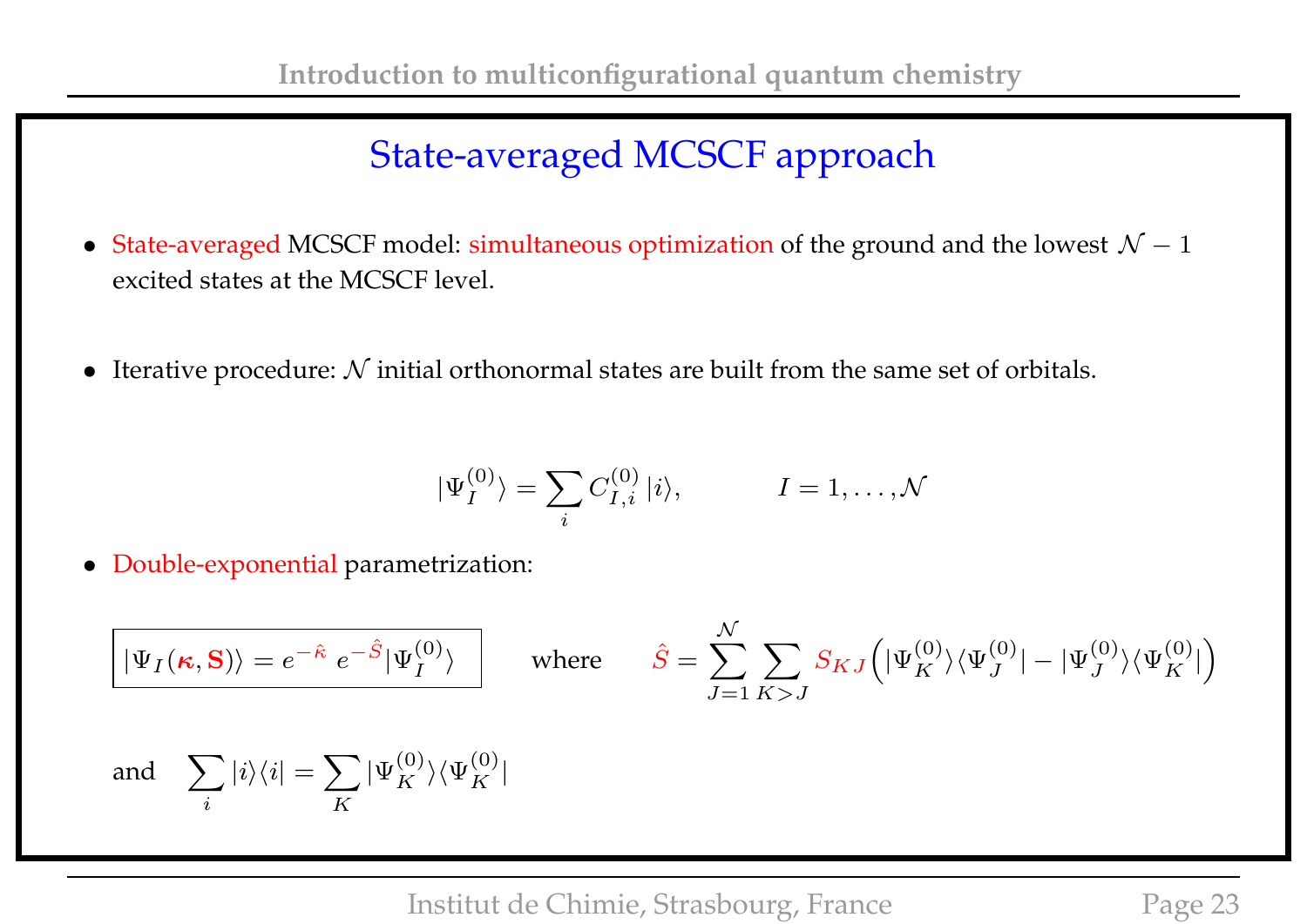# State-averaged MCSCF approach

- State-averaged MCSCF model: simultaneous optimization of the ground and the lowest  $\mathcal{N} 1$ excited states at the MCSCF level.
- Iterative procedure:  $N$  initial orthonormal states are built from the same set of orbitals.

$$
|\Psi_I^{(0)}\rangle = \sum_i C_{I,i}^{(0)} |i\rangle, \qquad I = 1, \dots, \mathcal{N}
$$

• Double-exponential parametrization:

$$
\boxed{|\Psi_I(\kappa, \mathbf{S})\rangle = e^{-\hat{\kappa}} e^{-\hat{S}} |\Psi_I^{(0)}\rangle}
$$
 where 
$$
\hat{S} = \sum_{J=1}^{\mathcal{N}} \sum_{K>J} S_{KJ} (|\Psi_K^{(0)}\rangle \langle \Psi_J^{(0)}| - |\Psi_J^{(0)}\rangle \langle \Psi_K^{(0)}|)
$$
 and 
$$
\sum_i |i\rangle \langle i| = \sum_K |\Psi_K^{(0)}\rangle \langle \Psi_K^{(0)}|
$$